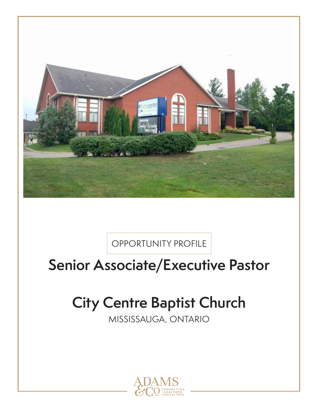

OPPORTUNITY PROFILE

# **Senior Associate/Executive Pastor**

# **City Centre Baptist Church**

MISSISSAUGA, ONTARIO

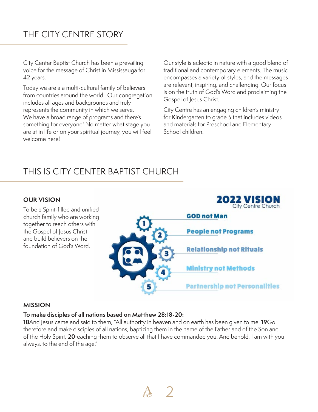# THE CITY CENTRE STORY

City Center Baptist Church has been a prevailing voice for the message of Christ in Mississauga for 42 years.

Today we are a a multi-cultural family of believers from countries around the world. Our congregation includes all ages and backgrounds and truly represents the community in which we serve. We have a broad range of programs and there's something for everyone! No matter what stage you are at in life or on your spiritual journey, you will feel welcome here!

Our style is eclectic in nature with a good blend of traditional and contemporary elements. The music encompasses a variety of styles, and the messages are relevant, inspiring, and challenging. Our focus is on the truth of God's Word and proclaiming the Gospel of Jesus Christ.

City Centre has an engaging children's ministry for Kindergarten to grade 5 that includes videos and materials for Preschool and Elementary School children.

# THIS IS CITY CENTER BAPTIST CHURCH

#### **OUR VISION**

To be a Spirit-filled and unified church family who are working together to reach others with the Gospel of Jesus Christ and build believers on the foundation of God's Word.



#### **MISSION**

#### **To make disciples of all nations based on Matthew 28:18-20:**

**18**And Jesus came and said to them, "All authority in heaven and on earth has been given to me. **19**Go therefore and make disciples of all nations, baptizing them in the name of the Father and of the Son and of the Holy Spirit, **20**teaching them to observe all that I have commanded you. And behold, I am with you always, to the end of the age."

 $\mathcal{A}$  | 2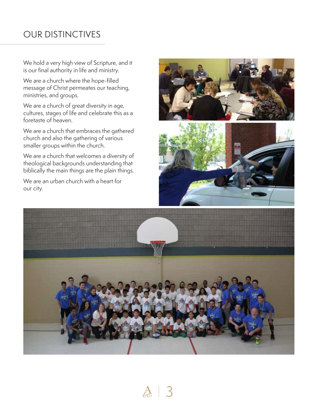## OUR DISTINCTIVES

We hold a very high view of Scripture, and it is our final authority in life and ministry.

We are a church where the hope-filled message of Christ permeates our teaching, ministries, and groups.

We are a church of great diversity in age, cultures, stages of life and celebrate this as a foretaste of heaven.

We are a church that embraces the gathered church and also the gathering of various smaller groups within the church.

We are a church that welcomes a diversity of theological backgrounds understanding that biblically the main things are the plain things.

We are an urban church with a heart for our city.





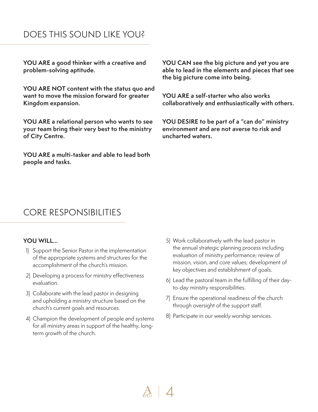### DOES THIS SOUND LIKE YOU?

**YOU ARE a good thinker with a creative and problem-solving aptitude.**

**YOU ARE NOT content with the status quo and want to move the mission forward for greater Kingdom expansion.**

**YOU ARE a relational person who wants to see your team bring their very best to the ministry of City Centre.**

**YOU ARE a multi-tasker and able to lead both people and tasks.**

**YOU CAN see the big picture and yet you are able to lead in the elements and pieces that see the big picture come into being.**

**YOU ARE a self-starter who also works collaboratively and enthusiastically with others.**

**YOU DESIRE to be part of a "can do" ministry environment and are not averse to risk and uncharted waters.**

### CORE RESPONSIBILITIES

#### **YOU WILL…**

- 1) Support the Senior Pastor in the implementation of the appropriate systems and structures for the accomplishment of the church's mission.
- 2) Developing a process for ministry effectiveness evaluation.
- 3) Collaborate with the lead pastor in designing and upholding a ministry structure based on the church's current goals and resources.
- 4) Champion the development of people and systems for all ministry areas in support of the healthy, longterm growth of the church.
- 5) Work collaboratively with the lead pastor in the annual strategic planning process including evaluation of ministry performance; review of mission, vision, and core values; development of key objectives and establishment of goals.
- 6) Lead the pastoral team in the fulfilling of their dayto-day ministry responsibilities.
- 7) Ensure the operational readiness of the church through oversight of the support staff.
- 8) Participate in our weekly worship services.

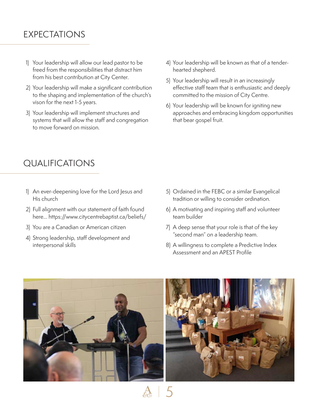# EXPECTATIONS

- 1) Your leadership will allow our lead pastor to be freed from the responsibilities that distract him from his best contribution at City Center.
- 2) Your leadership will make a significant contribution to the shaping and implementation of the church's vison for the next 1-5 years.
- 3) Your leadership will implement structures and systems that will allow the staff and congregation to move forward on mission.
- 4) Your leadership will be known as that of a tenderhearted shepherd.
- 5) Your leadership will result in an increasingly effective staff team that is enthusiastic and deeply committed to the mission of City Centre.
- 6) Your leadership will be known for igniting new approaches and embracing kingdom opportunities that bear gospel fruit.

## QUALIFICATIONS

- 1) An ever-deepening love for the Lord Jesus and His church
- 2) Full alignment with our statement of faith found here… https://www.citycentrebaptist.ca/beliefs/
- 3) You are a Canadian or American citizen
- 4) Strong leadership, staff development and interpersonal skills
- 5) Ordained in the FEBC or a similar Evangelical tradition or willing to consider ordination.
- 6) A motivating and inspiring staff and volunteer team builder
- 7) A deep sense that your role is that of the key "second man" on a leadership team.
- 8) A willingness to complete a Predictive Index Assessment and an APEST Profile



5